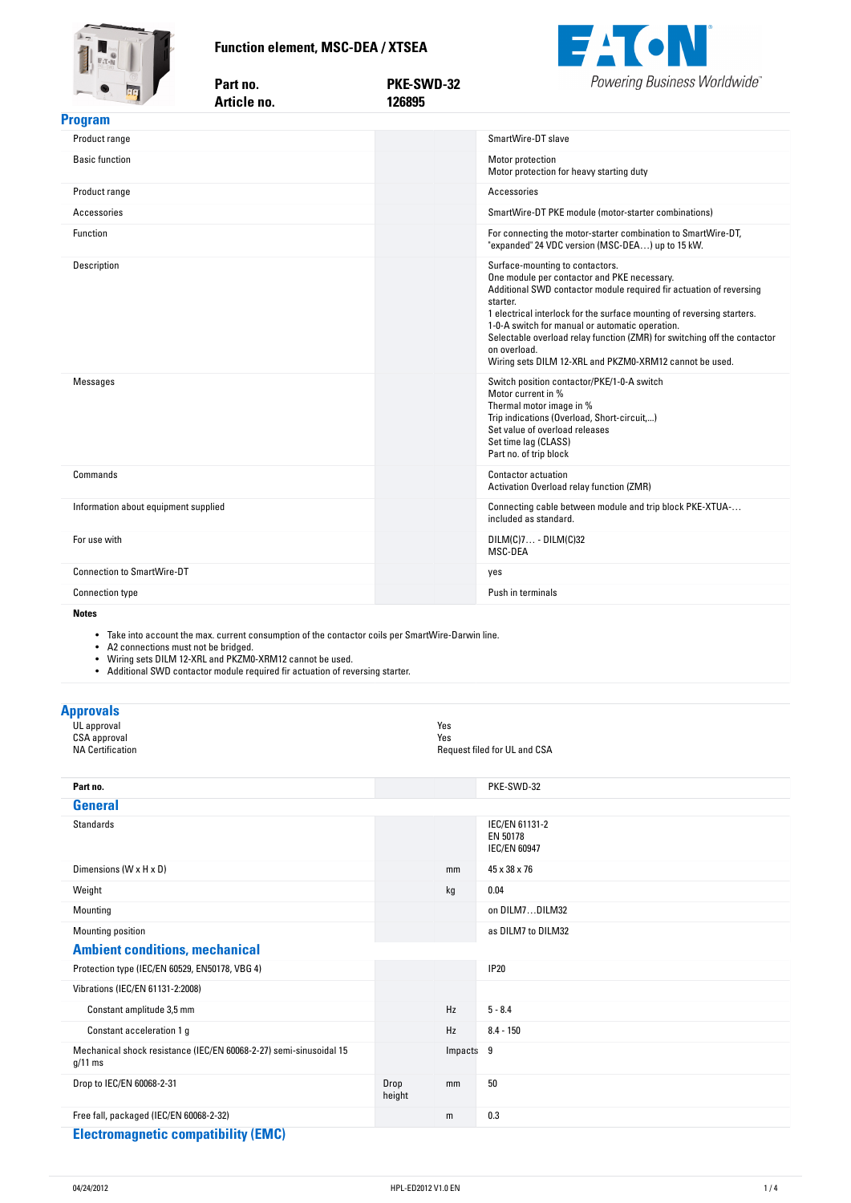**Function-element,-MSC-DEA-/-XTSEA**

Part no.



<span id="page-0-0"></span>

| THE REAL PROPERTY                    | Article no. | 126895 |                                                                                                                                                                                                                                                                                                                                                                                                                                                       |
|--------------------------------------|-------------|--------|-------------------------------------------------------------------------------------------------------------------------------------------------------------------------------------------------------------------------------------------------------------------------------------------------------------------------------------------------------------------------------------------------------------------------------------------------------|
| <b>Program</b>                       |             |        |                                                                                                                                                                                                                                                                                                                                                                                                                                                       |
| Product range                        |             |        | SmartWire-DT slave                                                                                                                                                                                                                                                                                                                                                                                                                                    |
| <b>Basic function</b>                |             |        | Motor protection<br>Motor protection for heavy starting duty                                                                                                                                                                                                                                                                                                                                                                                          |
| Product range                        |             |        | Accessories                                                                                                                                                                                                                                                                                                                                                                                                                                           |
| Accessories                          |             |        | SmartWire-DT PKE module (motor-starter combinations)                                                                                                                                                                                                                                                                                                                                                                                                  |
| Function                             |             |        | For connecting the motor-starter combination to SmartWire-DT,<br>"expanded" 24 VDC version (MSC-DEA) up to 15 kW.                                                                                                                                                                                                                                                                                                                                     |
| Description                          |             |        | Surface-mounting to contactors.<br>One module per contactor and PKE necessary.<br>Additional SWD contactor module required fir actuation of reversing<br>starter.<br>1 electrical interlock for the surface mounting of reversing starters.<br>1-0-A switch for manual or automatic operation.<br>Selectable overload relay function (ZMR) for switching off the contactor<br>on overload.<br>Wiring sets DILM 12-XRL and PKZM0-XRM12 cannot be used. |
| Messages                             |             |        | Switch position contactor/PKE/1-0-A switch<br>Motor current in %<br>Thermal motor image in %<br>Trip indications (Overload, Short-circuit,)<br>Set value of overload releases<br>Set time lag (CLASS)<br>Part no. of trip block                                                                                                                                                                                                                       |
| Commands                             |             |        | Contactor actuation<br>Activation Overload relay function (ZMR)                                                                                                                                                                                                                                                                                                                                                                                       |
| Information about equipment supplied |             |        | Connecting cable between module and trip block PKE-XTUA-<br>included as standard.                                                                                                                                                                                                                                                                                                                                                                     |
| For use with                         |             |        | $DILM(C)7 - DILM(C)32$<br>MSC-DEA                                                                                                                                                                                                                                                                                                                                                                                                                     |
| <b>Connection to SmartWire-DT</b>    |             |        | yes                                                                                                                                                                                                                                                                                                                                                                                                                                                   |
| <b>Connection type</b>               |             |        | Push in terminals                                                                                                                                                                                                                                                                                                                                                                                                                                     |
|                                      |             |        |                                                                                                                                                                                                                                                                                                                                                                                                                                                       |

**no. PKE-SWD-32**

#### **Notes**

• Take into account the max. current consumption of the contactor coils per SmartWire-Darwin line.

- A2 connections must not be bridged.
- Wiring sets DILM 12-XRL and PKZM0-XRM12 cannot be used.
- Additional SWD contactor module required fir actuation of reversing starter.

| <b>Approvals</b>                                       |            |                                                   |  |
|--------------------------------------------------------|------------|---------------------------------------------------|--|
| UL approval<br>CSA approval<br><b>NA Certification</b> | Yes<br>Yes | Request filed for UL and CSA                      |  |
|                                                        |            |                                                   |  |
| Part no.                                               |            | PKE-SWD-32                                        |  |
| <b>General</b>                                         |            |                                                   |  |
| Standards                                              |            | IEC/EN 61131-2<br>EN 50178<br><b>IEC/EN 60947</b> |  |
| Dimensions (W x H x D)                                 | mm         | 45 x 38 x 76                                      |  |
| Weight                                                 | kg         | 0.04                                              |  |
| Mounting                                               |            | on DILM7DILM32                                    |  |
| Mounting position                                      |            | as DILM7 to DILM32                                |  |
| <b>Ambient conditions, mechanical</b>                  |            |                                                   |  |
| Protection type (IEC/EN 60529, EN50178, VBG 4)         |            | <b>IP20</b>                                       |  |
| Vibrations (IEC/EN 61131-2:2008)                       |            |                                                   |  |
| Constant amplitude 3,5 mm                              | Hz         | $5 - 8.4$                                         |  |
| Constant acceleration 1 g                              | Hz         | $8.4 - 150$                                       |  |

Drop to IEC/EN 60068-2-31 Drop

Mechanical shock resistance (IEC/EN 60068-2-27) semi-sinusoidal 15

g/11 ms

Impacts 9

mm 50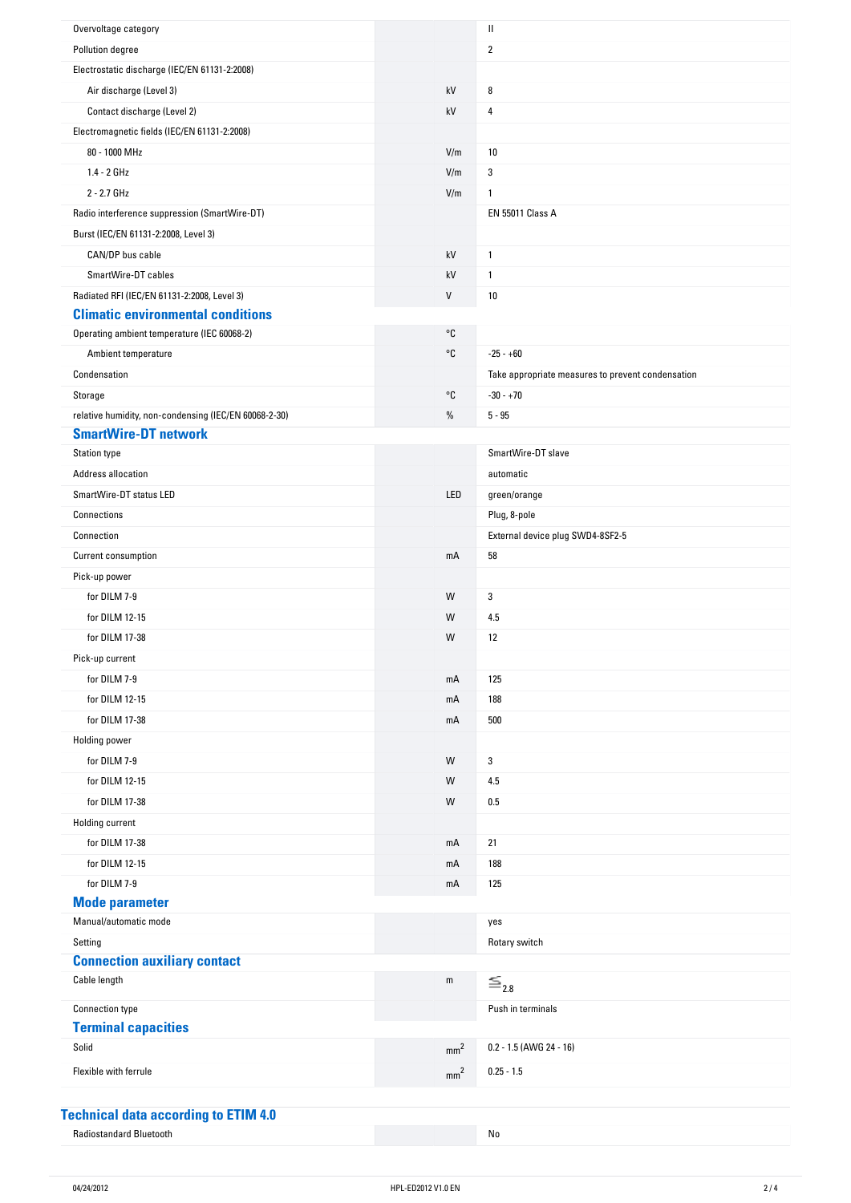| Overvoltage category                                  |                 | Ш                                                 |
|-------------------------------------------------------|-----------------|---------------------------------------------------|
| Pollution degree                                      |                 | 2                                                 |
| Electrostatic discharge (IEC/EN 61131-2:2008)         |                 |                                                   |
| Air discharge (Level 3)                               | kV              | 8                                                 |
| Contact discharge (Level 2)                           | kV              | 4                                                 |
| Electromagnetic fields (IEC/EN 61131-2:2008)          |                 |                                                   |
| 80 - 1000 MHz                                         | V/m             | 10                                                |
| $1.4 - 2 GHz$                                         | V/m             | 3                                                 |
| 2 - 2.7 GHz                                           | V/m             | $\mathbf{1}$                                      |
| Radio interference suppression (SmartWire-DT)         |                 | <b>EN 55011 Class A</b>                           |
| Burst (IEC/EN 61131-2:2008, Level 3)                  |                 |                                                   |
| CAN/DP bus cable                                      | kV              | $\mathbf{1}$                                      |
| SmartWire-DT cables                                   | kV              | $\mathbf{1}$                                      |
| Radiated RFI (IEC/EN 61131-2:2008, Level 3)           | V               | 10                                                |
| <b>Climatic environmental conditions</b>              |                 |                                                   |
| Operating ambient temperature (IEC 60068-2)           | °C              |                                                   |
| Ambient temperature                                   | °C              | $-25 - +60$                                       |
| Condensation                                          |                 | Take appropriate measures to prevent condensation |
| Storage                                               | °C              | $-30 - +70$                                       |
| relative humidity, non-condensing (IEC/EN 60068-2-30) | $\%$            | $5 - 95$                                          |
| <b>SmartWire-DT network</b>                           |                 |                                                   |
| <b>Station type</b>                                   |                 | SmartWire-DT slave                                |
| Address allocation                                    |                 | automatic                                         |
| SmartWire-DT status LED                               | LED             | green/orange                                      |
| Connections                                           |                 | Plug, 8-pole                                      |
| Connection                                            |                 | External device plug SWD4-8SF2-5                  |
| Current consumption                                   | mA              | 58                                                |
| Pick-up power                                         |                 |                                                   |
| for DILM 7-9                                          | W               | 3                                                 |
| for DILM 12-15                                        | W               | 4.5                                               |
| for DILM 17-38                                        | W               | 12                                                |
| Pick-up current                                       |                 |                                                   |
| for DILM 7-9                                          | mA              | 125                                               |
| for DILM 12-15                                        | mA              | 188                                               |
| for DILM 17-38                                        | mA              | 500                                               |
| <b>Holding power</b>                                  |                 |                                                   |
| for DILM 7-9                                          | W               | 3                                                 |
| for DILM 12-15                                        | W               | 4.5                                               |
| for DILM 17-38                                        | W               | 0.5                                               |
| <b>Holding current</b>                                |                 |                                                   |
| for DILM 17-38                                        | mA              | 21                                                |
| for DILM 12-15                                        | mA              | 188                                               |
| for DILM 7-9                                          | mA              | 125                                               |
| <b>Mode parameter</b>                                 |                 |                                                   |
| Manual/automatic mode                                 |                 | yes                                               |
| Setting                                               |                 | Rotary switch                                     |
| <b>Connection auxiliary contact</b>                   |                 |                                                   |
| Cable length                                          | ${\sf m}$       | $\equiv_{2.8}$                                    |
|                                                       |                 |                                                   |
| <b>Connection type</b>                                |                 | Push in terminals                                 |
| <b>Terminal capacities</b><br>Solid                   |                 |                                                   |
|                                                       | mm <sup>2</sup> | 0.2 - 1.5 (AWG 24 - 16)                           |
| Flexible with ferrule                                 | mm <sup>2</sup> | $0.25 - 1.5$                                      |
|                                                       |                 |                                                   |

### **Technical-data-according-to-ETIM-4.0**

| <b>Radiostandard Bluetooth</b> |  |  |
|--------------------------------|--|--|
|--------------------------------|--|--|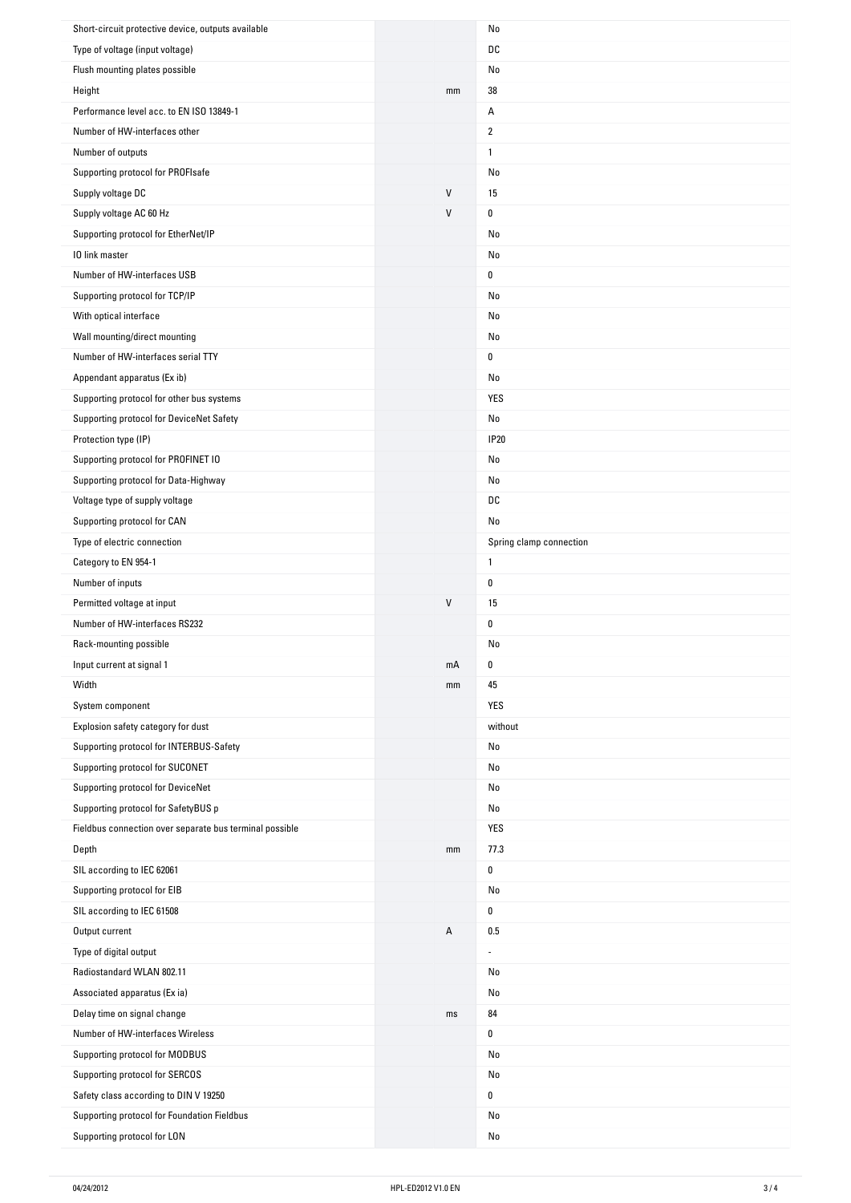| Short-circuit protective device, outputs available                         |         | No                      |
|----------------------------------------------------------------------------|---------|-------------------------|
| Type of voltage (input voltage)                                            |         | DC                      |
| Flush mounting plates possible                                             |         | No                      |
| Height                                                                     | mm      | 38                      |
| Performance level acc. to EN ISO 13849-1                                   |         | Α                       |
| Number of HW-interfaces other                                              |         | $\overline{2}$          |
| Number of outputs                                                          |         | $\mathbf{1}$            |
| Supporting protocol for PROFIsafe                                          |         | No                      |
| Supply voltage DC                                                          | V       | 15                      |
| Supply voltage AC 60 Hz                                                    | $\sf V$ | 0                       |
| Supporting protocol for EtherNet/IP                                        |         | No                      |
| 10 link master                                                             |         | No                      |
| Number of HW-interfaces USB                                                |         | 0                       |
| Supporting protocol for TCP/IP                                             |         | No                      |
| With optical interface                                                     |         | No                      |
| Wall mounting/direct mounting                                              |         | No                      |
| Number of HW-interfaces serial TTY                                         |         | 0                       |
| Appendant apparatus (Ex ib)                                                |         | No                      |
| Supporting protocol for other bus systems                                  |         | YES                     |
| Supporting protocol for DeviceNet Safety                                   |         | No                      |
| Protection type (IP)                                                       |         | <b>IP20</b>             |
| Supporting protocol for PROFINET IO                                        |         | No                      |
| Supporting protocol for Data-Highway                                       |         | No                      |
| Voltage type of supply voltage                                             |         | DC                      |
| Supporting protocol for CAN                                                |         | No                      |
|                                                                            |         |                         |
| Type of electric connection                                                |         | Spring clamp connection |
| Category to EN 954-1                                                       |         | $\mathbf{1}$            |
|                                                                            |         |                         |
| Number of inputs                                                           |         | $\mathbf 0$             |
| Permitted voltage at input                                                 | $\sf V$ | 15                      |
| Number of HW-interfaces RS232                                              |         | 0                       |
| Rack-mounting possible                                                     |         | No                      |
| Input current at signal 1                                                  | mA      | 0                       |
| Width                                                                      | mm      | 45                      |
| System component                                                           |         | YES                     |
| Explosion safety category for dust                                         |         | without                 |
| Supporting protocol for INTERBUS-Safety                                    |         | No                      |
| Supporting protocol for SUCONET                                            |         | No                      |
| Supporting protocol for DeviceNet                                          |         | No                      |
| Supporting protocol for SafetyBUS p                                        |         | No                      |
| Fieldbus connection over separate bus terminal possible                    |         | YES                     |
| Depth                                                                      | mm      | 77.3                    |
| SIL according to IEC 62061                                                 |         | 0                       |
| Supporting protocol for EIB                                                |         | No                      |
| SIL according to IEC 61508                                                 |         | 0                       |
| Output current                                                             | Α       | 0.5                     |
| Type of digital output                                                     |         | ä,                      |
| Radiostandard WLAN 802.11                                                  |         | No                      |
| Associated apparatus (Ex ia)                                               |         | No                      |
| Delay time on signal change                                                | ms      | 84                      |
| Number of HW-interfaces Wireless                                           |         | 0                       |
| Supporting protocol for MODBUS                                             |         | No                      |
| Supporting protocol for SERCOS                                             |         | No                      |
| Safety class according to DIN V 19250                                      |         | 0                       |
| Supporting protocol for Foundation Fieldbus<br>Supporting protocol for LON |         | No                      |